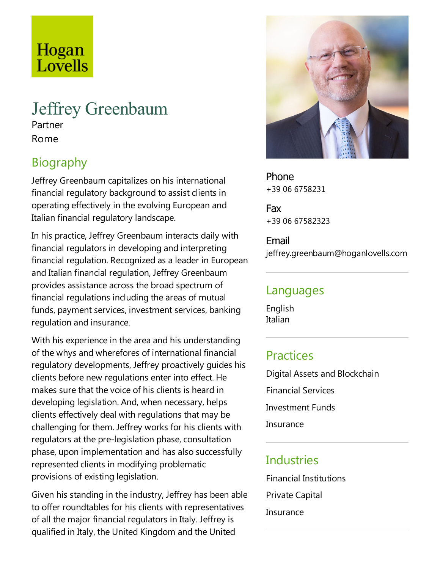# Hogan Lovells

#### Jeffrey Greenbaum Partner

Rome

# **Biography**

Jeffrey Greenbaum capitalizes on his international financial regulatory background to assist clients in operating effectively in the evolving European and Italian financial regulatory landscape.

In his practice, Jeffrey Greenbaum interacts daily with financial regulators in developing and interpreting financial regulation. Recognized as aleader in European and Italian financial regulation, Jeffrey Greenbaum provides assistance across the broad spectrum of financial regulations including the areas of mutual funds, payment services, investment services, banking regulation and insurance.

With his experience in the area and his understanding of the whys and wherefores of international financial regulatory developments, Jeffrey proactively guides his clients before new regulations enter into effect. He makes sure that the voice of his clients is heard in developing legislation. And, when necessary, helps clients effectively deal with regulations that may be challenging for them. Jeffrey works for his clients with regulators at the pre-legislation phase, consultation phase, upon implementation and has also successfully represented clients in modifying problematic provisions of existing legislation.

Given his standing in the industry, Jeffrey has been able to offer roundtables for his clients with representatives ofall the major financial regulators in Italy. Jeffrey is qualified in Italy, the United Kingdom and the United



Phone +39 06 6758231

Fax +39 06 67582323

Email jeffrey.greenbaum@hoganlovells.com

#### Languages

English Italian

#### **Practices**

Digital Assets and Blockchain Financial Services **Investment Funds Insurance** 

## **Industries**

Financial Institutions Private Capital **Insurance**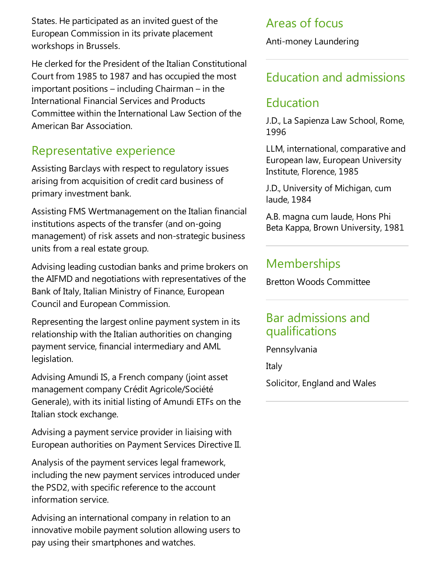States. He participated as an invited guest of the European Commission in its private placement workshops in Brussels.

He clerked for the President of the Italian Constitutional Court from 1985 to 1987 and has occupied the most important positions – including Chairman – in the International Financial Services and Products Committee within the International Law Section of the American Bar Association.

## Representative experience

Assisting Barclays with respect to regulatory issues arising from acquisition of credit card business of primary investment bank.

Assisting FMS Wertmanagement on the Italian financial institutions aspects of the transfer (and on-going management) of risk assets and non-strategic business units from a real estate group.

Advising leading custodian banks and prime brokers on the AIFMD and negotiations with representatives of the Bank of Italy, Italian Ministry of Finance, European Council and European Commission.

Representing the largest online payment system in its relationship with the Italian authorities on changing payment service, financial intermediary and AML legislation.

Advising Amundi IS, a French company (joint asset management company Crédit Agricole/Société Generale), with its initial listing of Amundi ETFs on the Italian stock exchange.

Advising a payment service provider in liaising with European authorities on Payment Services Directive II.

Analysis of the payment services legal framework, including the new payment services introduced under the PSD2, with specific reference to the account information service.

Advising an international company in relation to an innovative mobile payment solution allowing users to pay using their smartphones and watches.

## Areas of focus

Anti-money Laundering

## Education and admissions

## Education

J.D., La Sapienza Law School, Rome, 1996

LLM, international, comparative and European law, European University Institute, Florence, 1985

J.D., University of Michigan, cum laude, 1984

A.B. magna cum laude, Hons Phi Beta Kappa, Brown University, 1981

#### **Memberships**

Bretton Woods Committee

#### Bar admissions and qualifications

Pennsylvania

Italy

Solicitor, England and Wales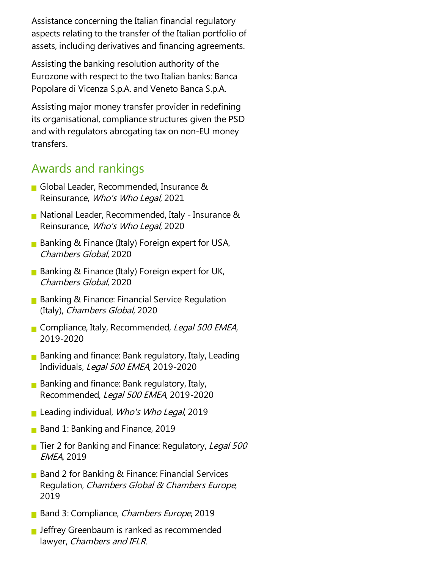Assistance concerning the Italian financial regulatory aspects relating to the transfer of the Italian portfolio of assets, including derivatives and financing agreements.

Assisting the banking resolution authority of the Eurozone with respect to the two Italian banks: Banca Popolare di Vicenza S.p.A. and Veneto Banca S.p.A.

Assisting major money transfer provider in redefining its organisational, compliance structures given the PSD and with regulators abrogating tax on non-EU money transfers.

#### Awards and rankings

- Global Leader, Recommended, Insurance & Reinsurance, Who's Who Legal, 2021
- National Leader, Recommended, Italy Insurance & Reinsurance, Who's Who Legal, 2020
- **Banking & Finance (Italy) Foreign expert for USA,** Chambers Global, 2020
- **Banking & Finance (Italy) Foreign expert for UK,** Chambers Global, 2020
- **Banking & Finance: Financial Service Regulation** (Italy), Chambers Global, 2020
- Compliance, Italy, Recommended, Legal 500 EMEA, 2019-2020
- **Banking and finance: Bank regulatory, Italy, Leading** Individuals, Legal 500 EMEA, 2019-2020
- **Banking and finance: Bank regulatory, Italy,** Recommended, Legal 500 EMEA, 2019-2020
- **Leading individual, Who's Who Legal, 2019**
- Band 1: Banking and Finance, 2019
- Tier 2 for Banking and Finance: Regulatory, Legal 500 EMEA, 2019
- Band 2 for Banking & Finance: Financial Services Regulation, Chambers Global & Chambers Europe, 2019
- Band 3: Compliance, *Chambers Europe*, 2019
- **Jeffrey Greenbaum is ranked as recommended** lawyer, Chambers and IFLR.